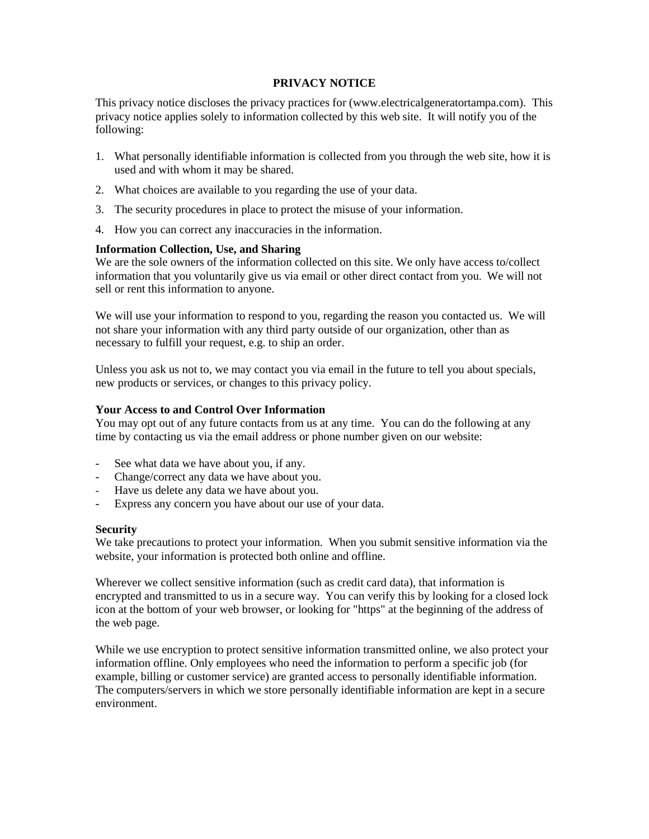## **PRIVACY NOTICE**

This privacy notice discloses the privacy practices for (www.electricalgeneratortampa.com). This privacy notice applies solely to information collected by this web site. It will notify you of the following:

- 1. What personally identifiable information is collected from you through the web site, how it is used and with whom it may be shared.
- 2. What choices are available to you regarding the use of your data.
- 3. The security procedures in place to protect the misuse of your information.
- 4. How you can correct any inaccuracies in the information.

## **Information Collection, Use, and Sharing**

We are the sole owners of the information collected on this site. We only have access to/collect information that you voluntarily give us via email or other direct contact from you. We will not sell or rent this information to anyone.

We will use your information to respond to you, regarding the reason you contacted us. We will not share your information with any third party outside of our organization, other than as necessary to fulfill your request, e.g. to ship an order.

Unless you ask us not to, we may contact you via email in the future to tell you about specials, new products or services, or changes to this privacy policy.

## **Your Access to and Control Over Information**

You may opt out of any future contacts from us at any time. You can do the following at any time by contacting us via the email address or phone number given on our website:

- See what data we have about you, if any.
- Change/correct any data we have about you.
- Have us delete any data we have about you.
- Express any concern you have about our use of your data.

## **Security**

We take precautions to protect your information. When you submit sensitive information via the website, your information is protected both online and offline.

Wherever we collect sensitive information (such as credit card data), that information is encrypted and transmitted to us in a secure way. You can verify this by looking for a closed lock icon at the bottom of your web browser, or looking for "https" at the beginning of the address of the web page.

While we use encryption to protect sensitive information transmitted online, we also protect your information offline. Only employees who need the information to perform a specific job (for example, billing or customer service) are granted access to personally identifiable information. The computers/servers in which we store personally identifiable information are kept in a secure environment.